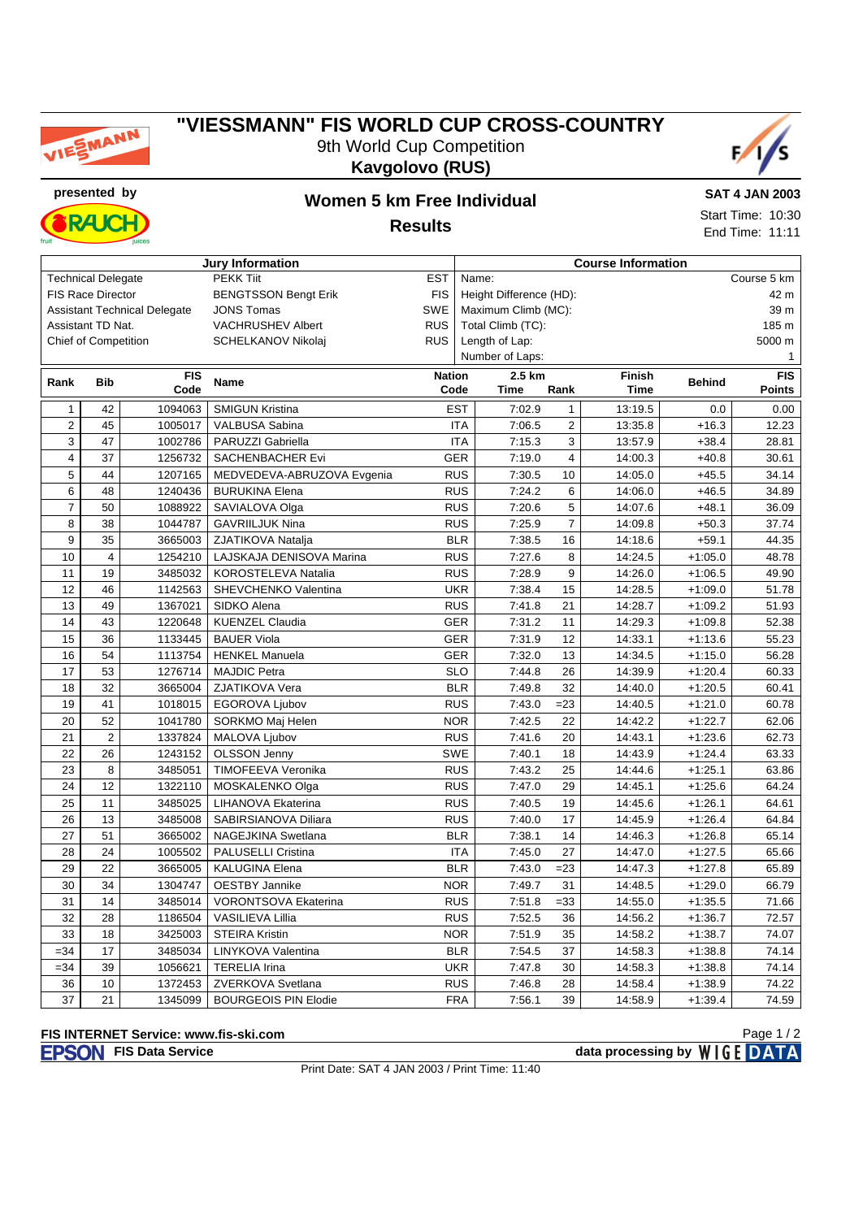

## **"VIESSMANN" FIS WORLD CUP CROSS-COUNTRY** 9th World Cup Competition **Kavgolovo (RUS)**





## **presented by Women 5 km Free Individual**

**Results**

**SAT 4 JAN 2003** Start Time: 10:30 End Time: 11:11

|                         |                                                                                        |            | <b>Jury Information</b>            |               | <b>Course Information</b> |                         |                |             |               |               |  |  |
|-------------------------|----------------------------------------------------------------------------------------|------------|------------------------------------|---------------|---------------------------|-------------------------|----------------|-------------|---------------|---------------|--|--|
|                         | <b>Technical Delegate</b>                                                              |            | <b>PEKK Tiit</b>                   | <b>EST</b>    |                           | Name:                   |                | Course 5 km |               |               |  |  |
|                         | <b>FIS Race Director</b>                                                               |            | <b>BENGTSSON Bengt Erik</b>        | <b>FIS</b>    |                           | Height Difference (HD): |                | 42 m        |               |               |  |  |
|                         | <b>JONS Tomas</b><br><b>SWE</b><br>Maximum Climb (MC):<br>Assistant Technical Delegate |            |                                    |               |                           |                         |                |             | 39 m          |               |  |  |
| Assistant TD Nat.       |                                                                                        |            | VACHRUSHEV Albert                  | <b>RUS</b>    | Total Climb (TC):         |                         |                |             |               | 185 m         |  |  |
| Chief of Competition    |                                                                                        |            | SCHELKANOV Nikolaj                 | <b>RUS</b>    |                           | Length of Lap:          |                |             |               | 5000 m        |  |  |
| Number of Laps:         |                                                                                        |            |                                    |               |                           |                         | $\mathbf{1}$   |             |               |               |  |  |
| Rank                    | <b>Bib</b>                                                                             | <b>FIS</b> | <b>Name</b>                        | <b>Nation</b> |                           | 2.5 km                  |                | Finish      | <b>Behind</b> | <b>FIS</b>    |  |  |
|                         |                                                                                        | Code       |                                    | Code          |                           | <b>Time</b>             | Rank           | <b>Time</b> |               | <b>Points</b> |  |  |
| $\mathbf{1}$            | 42                                                                                     | 1094063    | <b>SMIGUN Kristina</b>             |               | <b>EST</b>                | 7:02.9                  | $\mathbf{1}$   | 13:19.5     | 0.0           | 0.00          |  |  |
| $\overline{\mathbf{c}}$ | 45                                                                                     | 1005017    | VALBUSA Sabina                     |               | <b>ITA</b>                | 7:06.5                  | $\sqrt{2}$     | 13:35.8     | $+16.3$       | 12.23         |  |  |
| 3                       | 47                                                                                     | 1002786    | PARUZZI Gabriella                  |               | <b>ITA</b>                | 7:15.3                  | 3              | 13:57.9     | $+38.4$       | 28.81         |  |  |
| 4                       | 37                                                                                     | 1256732    | SACHENBACHER Evi                   |               | <b>GER</b>                | 7:19.0                  | $\overline{4}$ | 14:00.3     | $+40.8$       | 30.61         |  |  |
| 5                       | 44                                                                                     | 1207165    | MEDVEDEVA-ABRUZOVA Evgenia         |               | <b>RUS</b>                | 7:30.5                  | 10             | 14:05.0     | $+45.5$       | 34.14         |  |  |
| 6                       | 48                                                                                     | 1240436    | <b>BURUKINA Elena</b>              |               | <b>RUS</b>                | 7:24.2                  | 6              | 14:06.0     | $+46.5$       | 34.89         |  |  |
| $\overline{7}$          | 50                                                                                     | 1088922    | SAVIALOVA Olga                     |               | <b>RUS</b>                | 7:20.6                  | 5              | 14:07.6     | $+48.1$       | 36.09         |  |  |
| 8                       | 38                                                                                     | 1044787    | <b>GAVRIILJUK Nina</b>             |               | <b>RUS</b>                | 7:25.9                  | $\overline{7}$ | 14:09.8     | $+50.3$       | 37.74         |  |  |
| 9                       | 35                                                                                     | 3665003    | ZJATIKOVA Natalja                  |               | <b>BLR</b>                | 7:38.5                  | 16             | 14:18.6     | $+59.1$       | 44.35         |  |  |
| 10                      | 4                                                                                      | 1254210    | LAJSKAJA DENISOVA Marina           |               | <b>RUS</b>                | 7:27.6                  | 8              | 14:24.5     | $+1:05.0$     | 48.78         |  |  |
| 11                      | 19                                                                                     | 3485032    | KOROSTELEVA Natalia                |               | <b>RUS</b>                | 7:28.9                  | 9              | 14:26.0     | $+1:06.5$     | 49.90         |  |  |
| 12                      | 46                                                                                     | 1142563    | SHEVCHENKO Valentina<br><b>UKR</b> |               |                           | 7:38.4                  | 15             | 14:28.5     | $+1:09.0$     | 51.78         |  |  |
| 13                      | 49                                                                                     | 1367021    | SIDKO Alena                        |               | <b>RUS</b>                | 7:41.8                  | 21             | 14:28.7     | $+1:09.2$     | 51.93         |  |  |
| 14                      | 43                                                                                     | 1220648    | <b>KUENZEL Claudia</b>             |               | <b>GER</b>                | 7:31.2                  | 11             | 14:29.3     | $+1:09.8$     | 52.38         |  |  |
| 15                      | 36                                                                                     | 1133445    | <b>BAUER Viola</b>                 |               | <b>GER</b>                | 7:31.9                  | 12             | 14:33.1     | $+1:13.6$     | 55.23         |  |  |
| 16                      | 54                                                                                     | 1113754    | <b>HENKEL Manuela</b>              |               | <b>GER</b>                | 7:32.0                  | 13             | 14:34.5     | $+1:15.0$     | 56.28         |  |  |
| 17                      | 53                                                                                     | 1276714    | <b>MAJDIC Petra</b>                |               | <b>SLO</b>                | 7:44.8                  | 26             | 14:39.9     | $+1:20.4$     | 60.33         |  |  |
| 18                      | 32                                                                                     | 3665004    | ZJATIKOVA Vera                     |               | <b>BLR</b>                | 7:49.8                  | 32             | 14:40.0     | $+1:20.5$     | 60.41         |  |  |
| 19                      | 41                                                                                     | 1018015    | EGOROVA Ljubov                     |               | <b>RUS</b>                | 7:43.0                  | $= 23$         | 14:40.5     | $+1:21.0$     | 60.78         |  |  |
| 20                      | 52                                                                                     | 1041780    | SORKMO Maj Helen                   | <b>NOR</b>    |                           | 7:42.5                  | 22             | 14:42.2     | $+1:22.7$     | 62.06         |  |  |
| 21                      | $\overline{2}$                                                                         | 1337824    | MALOVA Ljubov                      | <b>RUS</b>    |                           | 7:41.6                  | 20             | 14:43.1     | $+1:23.6$     | 62.73         |  |  |
| 22                      | 26                                                                                     | 1243152    | <b>OLSSON Jenny</b>                |               | <b>SWE</b>                | 7:40.1                  | 18             | 14:43.9     | $+1:24.4$     | 63.33         |  |  |
| 23                      | 8                                                                                      | 3485051    | TIMOFEEVA Veronika                 |               | <b>RUS</b>                | 7:43.2                  | 25             | 14:44.6     | $+1:25.1$     | 63.86         |  |  |
| 24                      | 12                                                                                     | 1322110    | MOSKALENKO Olga                    |               | <b>RUS</b>                | 7:47.0                  | 29             | 14:45.1     | $+1:25.6$     | 64.24         |  |  |
| 25                      | 11                                                                                     | 3485025    | LIHANOVA Ekaterina                 |               | <b>RUS</b>                | 7:40.5                  | 19             | 14:45.6     | $+1:26.1$     | 64.61         |  |  |
| 26                      | 13                                                                                     | 3485008    | SABIRSIANOVA Diliara               |               | <b>RUS</b>                | 7:40.0                  | 17             | 14:45.9     | $+1:26.4$     | 64.84         |  |  |
| 27                      | 51                                                                                     | 3665002    | NAGEJKINA Swetlana                 |               | <b>BLR</b>                | 7:38.1                  | 14             | 14:46.3     | $+1:26.8$     | 65.14         |  |  |
| 28                      | 24                                                                                     | 1005502    | PALUSELLI Cristina                 |               | <b>ITA</b>                | 7:45.0                  | 27             | 14:47.0     | $+1:27.5$     | 65.66         |  |  |
| 29                      | 22                                                                                     | 3665005    | <b>KALUGINA Elena</b>              |               | <b>BLR</b>                | 7:43.0                  | $= 23$         | 14:47.3     | $+1:27.8$     | 65.89         |  |  |
| 30                      | 34                                                                                     | 1304747    | <b>OESTBY Jannike</b>              |               | <b>NOR</b>                | 7:49.7                  | 31             | 14:48.5     | $+1:29.0$     | 66.79         |  |  |
| 31                      | 14                                                                                     | 3485014    | <b>VORONTSOVA Ekaterina</b>        |               | <b>RUS</b>                | 7:51.8                  | $= 33$         | 14:55.0     | $+1:35.5$     | 71.66         |  |  |
| 32                      | 28                                                                                     | 1186504    | <b>VASILIEVA Lillia</b>            |               | <b>RUS</b>                | 7:52.5                  | 36             | 14:56.2     | $+1:36.7$     | 72.57         |  |  |
| 33                      | 18                                                                                     | 3425003    | <b>STEIRA Kristin</b>              |               | <b>NOR</b>                | 7:51.9                  | 35             | 14:58.2     | $+1:38.7$     | 74.07         |  |  |
| $= 34$                  | 17                                                                                     |            |                                    |               |                           | 7:54.5                  | 37             |             |               | 74.14         |  |  |
|                         |                                                                                        | 3485034    | LINYKOVA Valentina                 |               | <b>BLR</b>                |                         |                | 14:58.3     | $+1:38.8$     |               |  |  |
| $= 34$                  | 39                                                                                     | 1056621    | <b>TERELIA Irina</b>               |               | <b>UKR</b>                | 7:47.8                  | 30             | 14:58.3     | $+1:38.8$     | 74.14         |  |  |
| 36                      | 10                                                                                     | 1372453    | ZVERKOVA Svetlana                  |               | <b>RUS</b>                | 7:46.8                  | 28             | 14:58.4     | $+1:38.9$     | 74.22         |  |  |
| 37                      | 21                                                                                     | 1345099    | <b>BOURGEOIS PIN Elodie</b>        |               | <b>FRA</b>                | 7:56.1                  | 39             | 14:58.9     | $+1:39.4$     | 74.59         |  |  |

**FIS INTERNET Service: www.fis-ski.com**

**FISON** FIS Data Service **data processing by** WIGE DATA Page 1 / 2

Print Date: SAT 4 JAN 2003 / Print Time: 11:40